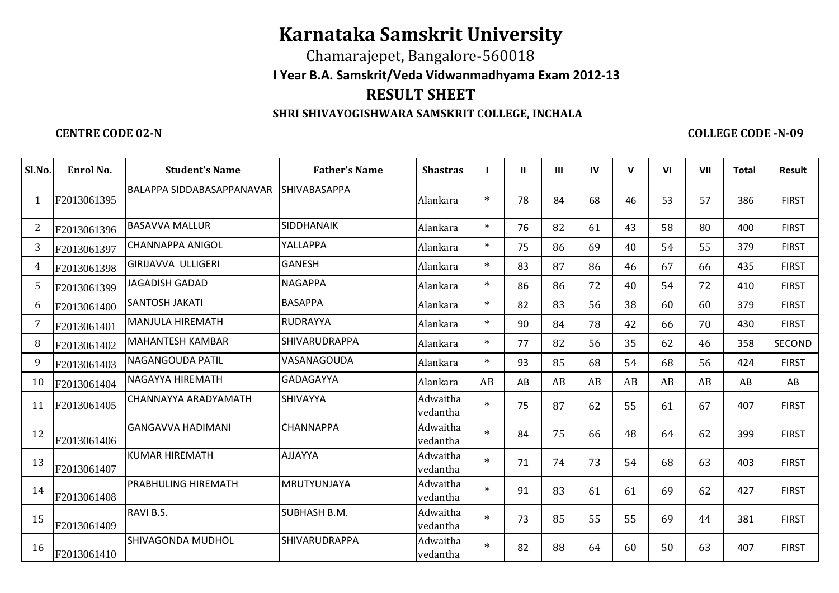## **Karnataka Samskrit University**

Chamarajepet, Bangalore-560018 **I Year B.A. Samskrit/Veda Vidwanmadhyama Exam 2012-13RESULT SHEET**

## **SHRI SHIVAYOGISHWARA SAMSKRIT COLLEGE, INCHALA**

## **CENTRE CODE 02-N**

**COLLEGE CODE -N-09**

| Sl.No. | Enrol No.   | <b>Student's Name</b>            | <b>Father's Name</b> | <b>Shastras</b>      |        | $\mathbf{H}$ | $\mathbf{m}$ | IV | $\mathsf{V}$ | V <sub>l</sub> | VII | <b>Total</b> | <b>Result</b> |
|--------|-------------|----------------------------------|----------------------|----------------------|--------|--------------|--------------|----|--------------|----------------|-----|--------------|---------------|
| -1     | F2013061395 | <b>BALAPPA SIDDABASAPPANAVAR</b> | SHIVABASAPPA         | Alankara             | $\ast$ | 78           | 84           | 68 | 46           | 53             | 57  | 386          | <b>FIRST</b>  |
| 2      | F2013061396 | <b>BASAVVA MALLUR</b>            | SIDDHANAIK           | Alankara             | $\ast$ | 76           | 82           | 61 | 43           | 58             | 80  | 400          | <b>FIRST</b>  |
| 3      | F2013061397 | <b>CHANNAPPA ANIGOL</b>          | YALLAPPA             | Alankara             | $\ast$ | 75           | 86           | 69 | 40           | 54             | 55  | 379          | <b>FIRST</b>  |
| 4      | F2013061398 | <b>GIRIJAVVA ULLIGERI</b>        | <b>GANESH</b>        | Alankara             | $\ast$ | 83           | 87           | 86 | 46           | 67             | 66  | 435          | <b>FIRST</b>  |
| 5      | F2013061399 | <b>JAGADISH GADAD</b>            | <b>NAGAPPA</b>       | Alankara             | $\ast$ | 86           | 86           | 72 | 40           | 54             | 72  | 410          | <b>FIRST</b>  |
| 6      | F2013061400 | <b>SANTOSH JAKATI</b>            | <b>BASAPPA</b>       | Alankara             | $\ast$ | 82           | 83           | 56 | 38           | 60             | 60  | 379          | <b>FIRST</b>  |
| 7      | F2013061401 | <b>MANJULA HIREMATH</b>          | <b>RUDRAYYA</b>      | Alankara             | $\ast$ | 90           | 84           | 78 | 42           | 66             | 70  | 430          | <b>FIRST</b>  |
| 8      | F2013061402 | <b>MAHANTESH KAMBAR</b>          | <b>SHIVARUDRAPPA</b> | Alankara             | $\ast$ | 77           | 82           | 56 | 35           | 62             | 46  | 358          | SECOND        |
| 9      | F2013061403 | <b>NAGANGOUDA PATIL</b>          | VASANAGOUDA          | Alankara             | $\ast$ | 93           | 85           | 68 | 54           | 68             | 56  | 424          | <b>FIRST</b>  |
| 10     | F2013061404 | NAGAYYA HIREMATH                 | <b>GADAGAYYA</b>     | Alankara             | AB     | AB           | AB           | AB | AB           | AB             | AB  | AB           | AB            |
| 11     | F2013061405 | CHANNAYYA ARADYAMATH             | SHIVAYYA             | Adwaitha<br>vedantha | $\ast$ | 75           | 87           | 62 | 55           | 61             | 67  | 407          | <b>FIRST</b>  |
| 12     | F2013061406 | <b>GANGAVVA HADIMANI</b>         | <b>CHANNAPPA</b>     | Adwaitha<br>vedantha | $\ast$ | 84           | 75           | 66 | 48           | 64             | 62  | 399          | <b>FIRST</b>  |
| 13     | F2013061407 | <b>KUMAR HIREMATH</b>            | <b>AJJAYYA</b>       | Adwaitha<br>vedantha | $\ast$ | 71           | 74           | 73 | 54           | 68             | 63  | 403          | <b>FIRST</b>  |
| 14     | F2013061408 | IPRABHULING HIREMATH             | <b>MRUTYUNJAYA</b>   | Adwaitha<br>vedantha | $\ast$ | 91           | 83           | 61 | 61           | 69             | 62  | 427          | <b>FIRST</b>  |
| 15     | F2013061409 | RAVI B.S.                        | <b>SUBHASH B.M.</b>  | Adwaitha<br>vedantha | $*$    | 73           | 85           | 55 | 55           | 69             | 44  | 381          | <b>FIRST</b>  |
| 16     | F2013061410 | <b>SHIVAGONDA MUDHOL</b>         | SHIVARUDRAPPA        | Adwaitha<br>vedantha | $\ast$ | 82           | 88           | 64 | 60           | 50             | 63  | 407          | <b>FIRST</b>  |